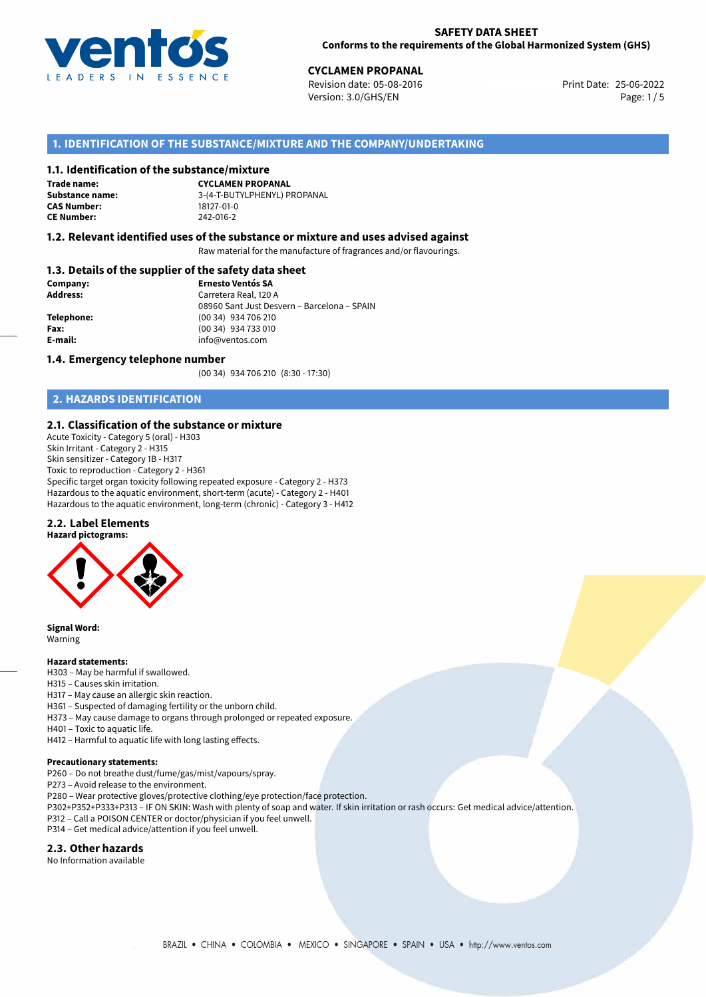

**CYCLAMEN PROPANAL**<br>
Revision date: 05-08-2016 **Print Date: 25-06-2022** Version: 3.0/GHS/EN Page: 1/5

# **1. IDENTIFICATION OF THE SUBSTANCE/MIXTURE AND THE COMPANY/UNDERTAKING**

#### **1.1. Identification of the substance/mixture**

**Trade name: CAS Number: CE Number:** 242-016-2

**CYCLAMEN PROPANAL Substance name:** 3-(4-T-BUTYLPHENYL) PROPANAL

#### **1.2. Relevant identified uses of the substance or mixture and uses advised against**

Raw material for the manufacture of fragrances and/or flavourings.

### **1.3. Details of the supplier of the safety data sheet**

| Company:        | <b>Ernesto Ventós SA</b>                    |  |
|-----------------|---------------------------------------------|--|
| <b>Address:</b> | Carretera Real, 120 A                       |  |
|                 | 08960 Sant Just Desvern - Barcelona - SPAIN |  |
| Telephone:      | (00 34) 934 706 210                         |  |
| Fax:            | (00 34) 934 733 010                         |  |
| E-mail:         | info@ventos.com                             |  |
|                 |                                             |  |

#### **1.4. Emergency telephone number**

(00 34) 934 706 210 (8:30 - 17:30)

# **2. HAZARDS IDENTIFICATION**

#### **2.1. Classification of the substance or mixture**

Acute Toxicity - Category 5 (oral) - H303 Skin Irritant - Category 2 - H315 Skin sensitizer - Category 1B - H317 Toxic to reproduction - Category 2 - H361 Specific target organ toxicity following repeated exposure - Category 2 - H373 Hazardous to the aquatic environment, short-term (acute) - Category 2 - H401 Hazardous to the aquatic environment, long-term (chronic) - Category 3 - H412

#### **2.2. Label Elements**





**Signal Word:** Warning

#### **Hazard statements:**

- H303 May be harmful if swallowed.
- H315 Causes skin irritation.
- H317 May cause an allergic skin reaction.
- H361 Suspected of damaging fertility or the unborn child.
- H373 May cause damage to organs through prolonged or repeated exposure.
- H401 Toxic to aquatic life.
- H412 Harmful to aquatic life with long lasting effects.

#### **Precautionary statements:**

- P260 Do not breathe dust/fume/gas/mist/vapours/spray.
- P273 Avoid release to the environment.
- P280 Wear protective gloves/protective clothing/eye protection/face protection.
- P302+P352+P333+P313 IF ON SKIN: Wash with plenty of soap and water. If skin irritation or rash occurs: Get medical advice/attention.
- P312 Call a POISON CENTER or doctor/physician if you feel unwell.
- P314 Get medical advice/attention if you feel unwell.

#### **2.3. Other hazards**

No Information available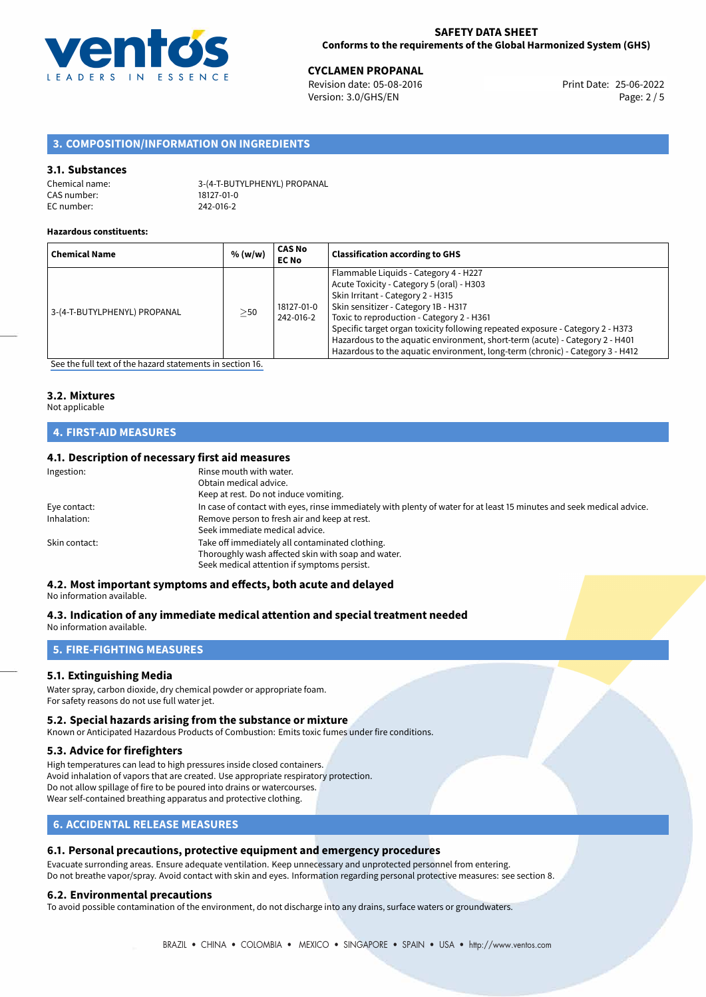

**CYCLAMEN PROPANAL**<br>
Revision date: 05-08-2016 **Print Date: 25-06-2022** Version: 3.0/GHS/EN Page: 2 / 5

# **3. COMPOSITION/INFORMATION ON INGREDIENTS**

#### **3.1. Substances**

| Chemical name: | 3-(4-T-BUTYLPHENYL) PROPANAL |
|----------------|------------------------------|
| CAS number:    | 18127-01-0                   |
| EC number:     | 242-016-2                    |

#### **Hazardous constituents:**

| <b>Chemical Name</b>         | % (w/w)   | <b>CAS No</b><br><b>EC No</b> | <b>Classification according to GHS</b>                                                                                                                                                                                                                                                                                                                                                                                                                          |
|------------------------------|-----------|-------------------------------|-----------------------------------------------------------------------------------------------------------------------------------------------------------------------------------------------------------------------------------------------------------------------------------------------------------------------------------------------------------------------------------------------------------------------------------------------------------------|
| 3-(4-T-BUTYLPHENYL) PROPANAL | $\geq$ 50 | 18127-01-0<br>242-016-2       | Flammable Liquids - Category 4 - H227<br>Acute Toxicity - Category 5 (oral) - H303<br>Skin Irritant - Category 2 - H315<br>Skin sensitizer - Category 1B - H317<br>Toxic to reproduction - Category 2 - H361<br>Specific target organ toxicity following repeated exposure - Category 2 - H373<br>Hazardous to the aquatic environment, short-term (acute) - Category 2 - H401<br>Hazardous to the aquatic environment, long-term (chronic) - Category 3 - H412 |

[See the full text of the hazard statements in section 16.](#page-4-0)

# **3.2. Mixtures**

### Not applicable

# **4. FIRST-AID MEASURES**

#### **4.1. Description of necessary first aid measures**

| Ingestion:    | Rinse mouth with water.                                                                                               |
|---------------|-----------------------------------------------------------------------------------------------------------------------|
|               | Obtain medical advice.                                                                                                |
|               | Keep at rest. Do not induce vomiting.                                                                                 |
| Eye contact:  | In case of contact with eyes, rinse immediately with plenty of water for at least 15 minutes and seek medical advice. |
| Inhalation:   | Remove person to fresh air and keep at rest.                                                                          |
|               | Seek immediate medical advice.                                                                                        |
| Skin contact: | Take off immediately all contaminated clothing.                                                                       |
|               | Thoroughly wash affected skin with soap and water.                                                                    |
|               | Seek medical attention if symptoms persist.                                                                           |

# **4.2. Most important symptoms and effects, both acute and delayed**

#### No information available.

# **4.3. Indication of any immediate medical attention and special treatment needed**

No information available.

# **5. FIRE-FIGHTING MEASURES**

#### **5.1. Extinguishing Media**

Water spray, carbon dioxide, dry chemical powder or appropriate foam. For safety reasons do not use full water jet.

#### **5.2. Special hazards arising from the substance or mixture**

Known or Anticipated Hazardous Products of Combustion: Emits toxic fumes under fire conditions.

#### **5.3. Advice for firefighters**

High temperatures can lead to high pressures inside closed containers. Avoid inhalation of vapors that are created. Use appropriate respiratory protection. Do not allow spillage of fire to be poured into drains or watercourses. Wear self-contained breathing apparatus and protective clothing.

### **6. ACCIDENTAL RELEASE MEASURES**

#### **6.1. Personal precautions, protective equipment and emergency procedures**

Evacuate surronding areas. Ensure adequate ventilation. Keep unnecessary and unprotected personnel from entering. Do not breathe vapor/spray. Avoid contact with skin and eyes. Information regarding personal protective measures: see section 8.

#### **6.2. Environmental precautions**

To avoid possible contamination of the environment, do not discharge into any drains, surface waters or groundwaters.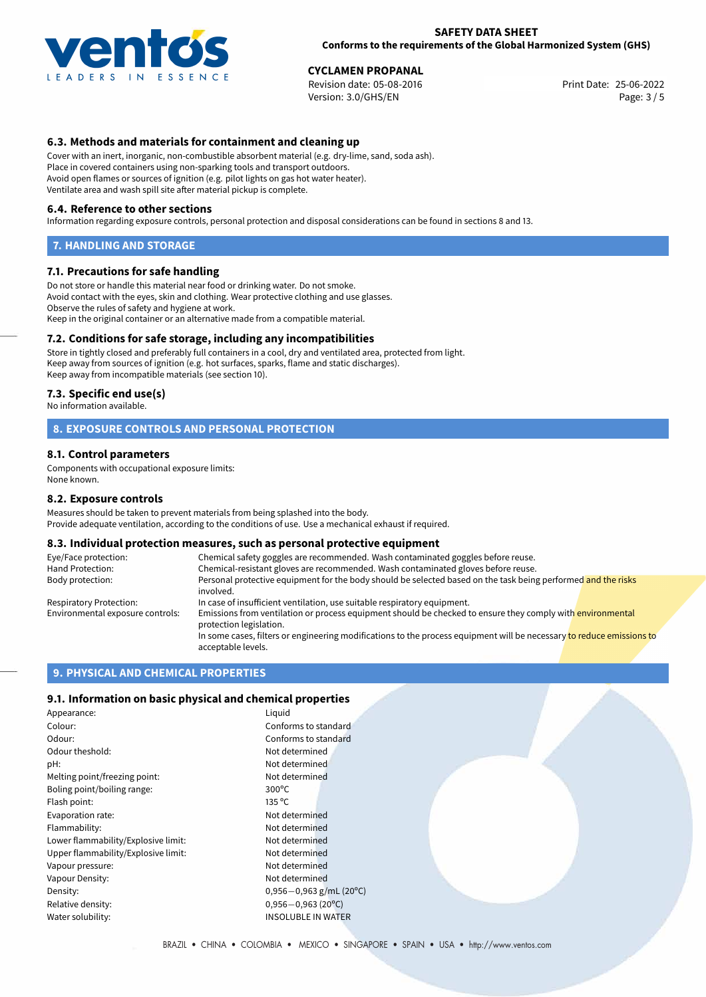

**CYCLAMEN PROPANAL**<br>
Revision date: 05-08-2016 **Print Date: 25-06-2022** Version: 3.0/GHS/EN Page: 3 / 5

# **6.3. Methods and materials for containment and cleaning up**

Cover with an inert, inorganic, non-combustible absorbent material (e.g. dry-lime, sand, soda ash). Place in covered containers using non-sparking tools and transport outdoors. Avoid open flames or sources of ignition (e.g. pilot lights on gas hot water heater). Ventilate area and wash spill site after material pickup is complete.

#### **6.4. Reference to other sections**

Information regarding exposure controls, personal protection and disposal considerations can be found in sections 8 and 13.

#### **7. HANDLING AND STORAGE**

#### **7.1. Precautions for safe handling**

Do not store or handle this material near food or drinking water. Do not smoke. Avoid contact with the eyes, skin and clothing. Wear protective clothing and use glasses. Observe the rules of safety and hygiene at work. Keep in the original container or an alternative made from a compatible material.

#### **7.2. Conditions for safe storage, including any incompatibilities**

Store in tightly closed and preferably full containers in a cool, dry and ventilated area, protected from light. Keep away from sources of ignition (e.g. hot surfaces, sparks, flame and static discharges). Keep away from incompatible materials (see section 10).

#### **7.3. Specific end use(s)**

No information available.

#### **8. EXPOSURE CONTROLS AND PERSONAL PROTECTION**

#### **8.1. Control parameters**

Components with occupational exposure limits: None known.

#### **8.2. Exposure controls**

Measures should be taken to prevent materials from being splashed into the body. Provide adequate ventilation, according to the conditions of use. Use a mechanical exhaust if required.

#### **8.3. Individual protection measures, such as personal protective equipment**

| Eye/Face protection:             | Chemical safety goggles are recommended. Wash contaminated goggles before reuse.                                                            |  |  |
|----------------------------------|---------------------------------------------------------------------------------------------------------------------------------------------|--|--|
| Hand Protection:                 | Chemical-resistant gloves are recommended. Wash contaminated gloves before reuse.                                                           |  |  |
| Body protection:                 | Personal protective equipment for the body should be selected based on the task being performed and the risks<br>involved.                  |  |  |
| Respiratory Protection:          | In case of insufficient ventilation, use suitable respiratory equipment.                                                                    |  |  |
| Environmental exposure controls: | Emissions from ventilation or process equipment should be checked to ensure they comply with environmental<br>protection legislation.       |  |  |
|                                  | In some cases, filters or engineering modifications to the process equipment will be necessary to reduce emissions to<br>acceptable levels. |  |  |

# **9. PHYSICAL AND CHEMICAL PROPERTIES**

#### **9.1. Information on basic physical and chemical properties**

| Appearance:                         | Liguid                       |
|-------------------------------------|------------------------------|
| Colour:                             | Conforms to standard         |
| Odour:                              | Conforms to standard         |
| Odour theshold:                     | Not determined               |
| pH:                                 | Not determined               |
| Melting point/freezing point:       | Not determined               |
| Boling point/boiling range:         | $300^{\circ}$ C              |
| Flash point:                        | 135 °C                       |
| Evaporation rate:                   | Not determined               |
| Flammability:                       | Not determined               |
| Lower flammability/Explosive limit: | Not determined               |
| Upper flammability/Explosive limit: | Not determined               |
| Vapour pressure:                    | Not determined               |
| Vapour Density:                     | Not determined               |
| Density:                            | $0,956 - 0,963$ g/mL (20°C)  |
| Relative density:                   | $0,956 - 0,963(20^{\circ}C)$ |
| Water solubility:                   | <b>INSOLUBLE IN WATER</b>    |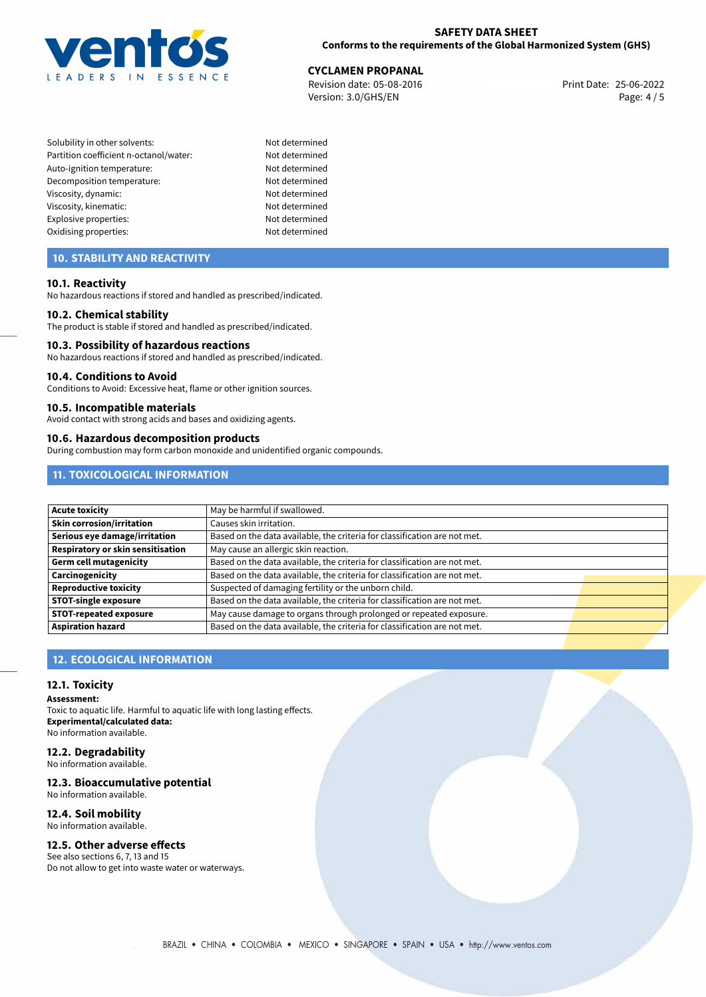

# **CYCLAMEN PROPANAL**<br>
Revision date: 05-08-2016<br> **CYCLAMEN PROPANAL**

Revision date: 05-08-2016 Version: 3.0/GHS/EN Page: 4 / 5

- Solubility in other solvents: Not determined Partition coefficient n-octanol/water: Not determined Auto-ignition temperature: Not determined Decomposition temperature: Not determined Viscosity, dynamic: Not determined Viscosity, kinematic: Not determined Explosive properties: Not determined Oxidising properties: Not determined
	-

# **10. STABILITY AND REACTIVITY**

#### **10.1. Reactivity**

No hazardous reactions if stored and handled as prescribed/indicated.

#### **10.2. Chemical stability**

The product is stable if stored and handled as prescribed/indicated.

#### **10.3. Possibility of hazardous reactions**

No hazardous reactions if stored and handled as prescribed/indicated.

#### **10.4. Conditions to Avoid**

Conditions to Avoid: Excessive heat, flame or other ignition sources.

#### **10.5. Incompatible materials**

Avoid contact with strong acids and bases and oxidizing agents.

#### **10.6. Hazardous decomposition products**

During combustion may form carbon monoxide and unidentified organic compounds.

# **11. TOXICOLOGICAL INFORMATION**

| Acute toxicity                           | May be harmful if swallowed.                                              |  |
|------------------------------------------|---------------------------------------------------------------------------|--|
| Skin corrosion/irritation                | Causes skin irritation.                                                   |  |
| Serious eye damage/irritation            | Based on the data available, the criteria for classification are not met. |  |
| <b>Respiratory or skin sensitisation</b> | May cause an allergic skin reaction.                                      |  |
| Germ cell mutagenicity                   | Based on the data available, the criteria for classification are not met. |  |
| <b>Carcinogenicity</b>                   | Based on the data available, the criteria for classification are not met. |  |
| Reproductive toxicity                    | Suspected of damaging fertility or the unborn child.                      |  |
| <b>STOT-single exposure</b>              | Based on the data available, the criteria for classification are not met. |  |
| <b>STOT-repeated exposure</b>            | May cause damage to organs through prolonged or repeated exposure.        |  |
| <b>Aspiration hazard</b>                 | Based on the data available, the criteria for classification are not met. |  |

# **12. ECOLOGICAL INFORMATION**

#### **12.1. Toxicity**

**Assessment:**

Toxic to aquatic life. Harmful to aquatic life with long lasting effects. **Experimental/calculated data:** No information available.

# **12.2. Degradability**

No information available.

### **12.3. Bioaccumulative potential**

No information available.

# **12.4. Soil mobility**

No information available.

# **12.5. Other adverse effects**

See also sections 6, 7, 13 and 15 Do not allow to get into waste water or waterways.